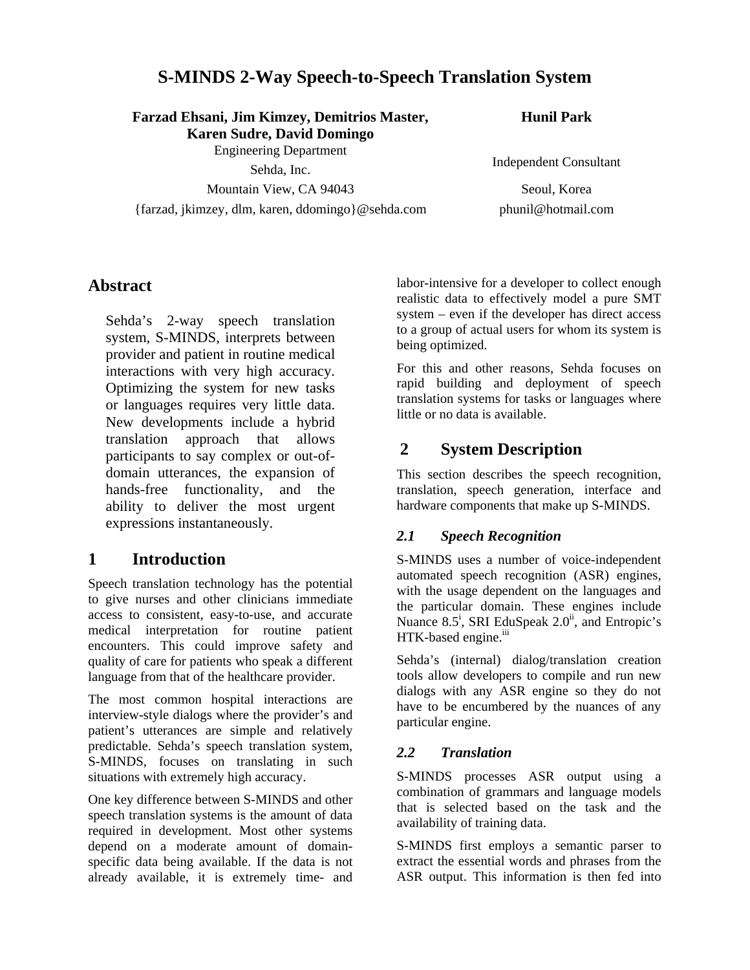# **S-MINDS 2-Way Speech-to-Speech Translation System**

**Farzad Ehsani, Jim Kimzey, Demitrios Master, Karen Sudre, David Domingo** 

Engineering Department

Mountain View, CA 94043 Seoul, Korea

{farzad, jkimzey, dlm, karen, ddomingo}@sehda.com phunil@hotmail.com

**Hunil Park**

Sehda, Inc. **Independent Consultant** 

## **Abstract**

Sehda's 2-way speech translation system, S-MINDS, interprets between provider and patient in routine medical interactions with very high accuracy. Optimizing the system for new tasks or languages requires very little data. New developments include a hybrid translation approach that allows participants to say complex or out-ofdomain utterances, the expansion of hands-free functionality, and the ability to deliver the most urgent expressions instantaneously.

## **1 Introduction**

Speech translation technology has the potential to give nurses and other clinicians immediate access to consistent, easy-to-use, and accurate medical interpretation for routine patient encounters. This could improve safety and quality of care for patients who speak a different language from that of the healthcare provider.

The most common hospital interactions are interview-style dialogs where the provider's and patient's utterances are simple and relatively predictable. Sehda's speech translation system, S-MINDS, focuses on translating in such situations with extremely high accuracy.

One key difference between S-MINDS and other speech translation systems is the amount of data required in development. Most other systems depend on a moderate amount of domainspecific data being available. If the data is not already available, it is extremely time- and

labor-intensive for a developer to collect enough realistic data to effectively model a pure SMT system – even if the developer has direct access to a group of actual users for whom its system is being optimized.

For this and other reasons, Sehda focuses on rapid building and deployment of speech translation systems for tasks or languages where little or no data is available.

# **2 System Description**

This section describes the speech recognition, translation, speech generation, interface and hardware components that make up S-MINDS.

### *2.1 Speech Recognition*

S-MINDS uses a number of voice-independent automated speech recognition (ASR) engines, with the usage dependent on the languages and the particular domain. These engines include Nuance 8.5<sup>i</sup>, SRI EduSpeak  $2.0^{\text{ii}}$ , and Entropic's HTK-based engine.<sup>iii</sup>

Sehda's (internal) dialog/translation creation tools allow developers to compile and run new dialogs with any ASR engine so they do not have to be encumbered by the nuances of any particular engine.

#### *2.2 Translation*

S-MINDS processes ASR output using a combination of grammars and language models that is selected based on the task and the availability of training data.

S-MINDS first employs a semantic parser to extract the essential words and phrases from the ASR output. This information is then fed into